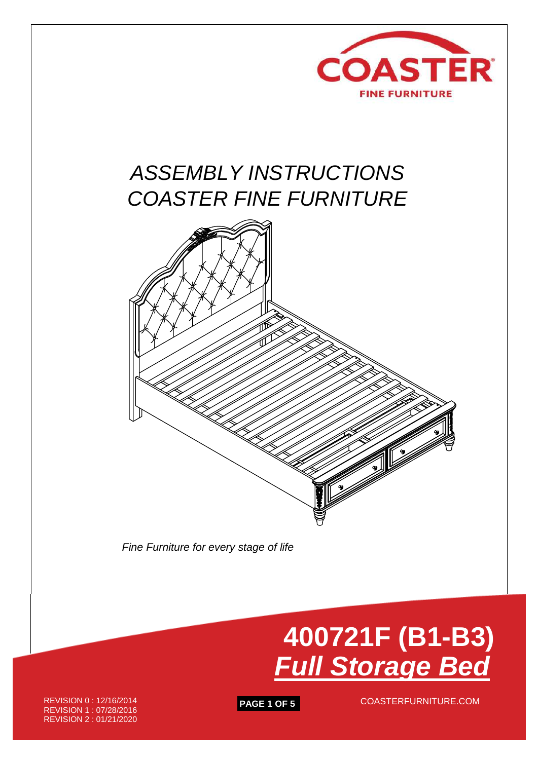

# *ASSEMBLY INSTRUCTIONS COASTER FINE FURNITURE*



 *Fine Furniture for every stage of life*



REVISION 0 : 12/16/2014 REVISION 1 : 07/28/2016 REVISION 2 : 01/21/2020

**PAGE 1 OF 5** COASTERFURNITURE.COM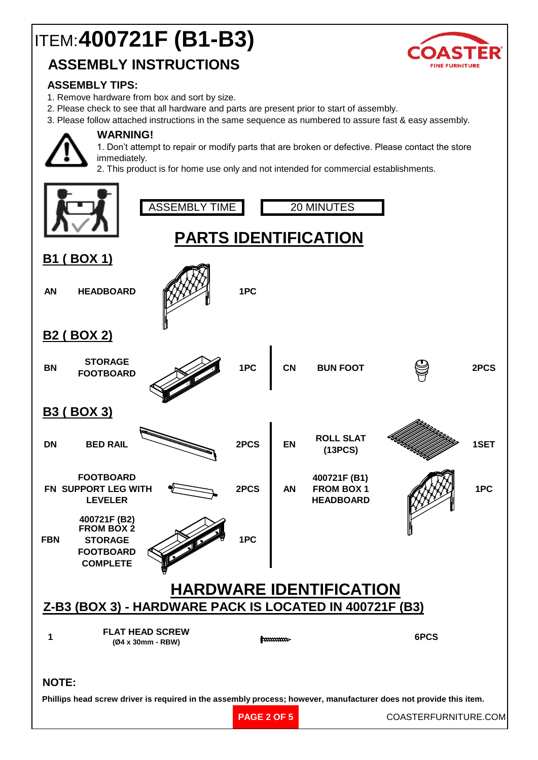# ITEM: **400721F (B1-B3)**

### **ASSEMBLY INSTRUCTIONS**



#### **ASSEMBLY TIPS:**

- 1. Remove hardware from box and sort by size.
- 2. Please check to see that all hardware and parts are present prior to start of assembly.
- 3. Please follow attached instructions in the same sequence as numbered to assure fast & easy assembly.



#### **WARNING!**

1. Don't attempt to repair or modify parts that are broken or defective. Please contact the store immediately.

2. This product is for home use only and not intended for commercial establishments.

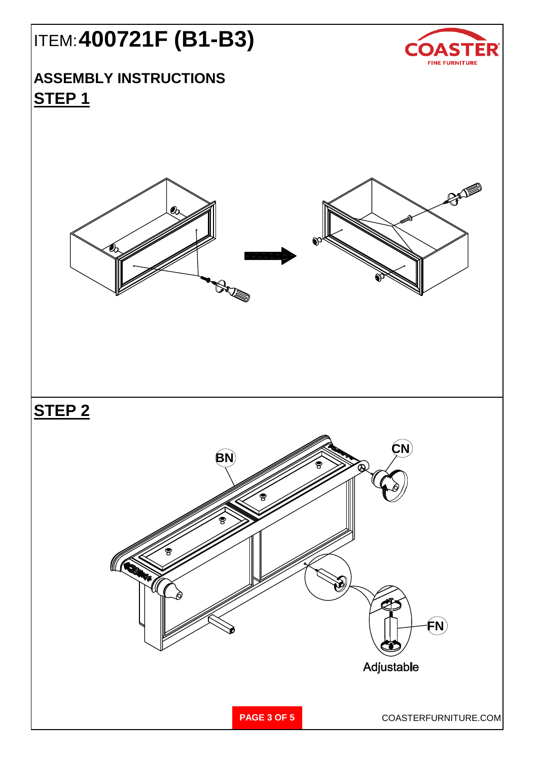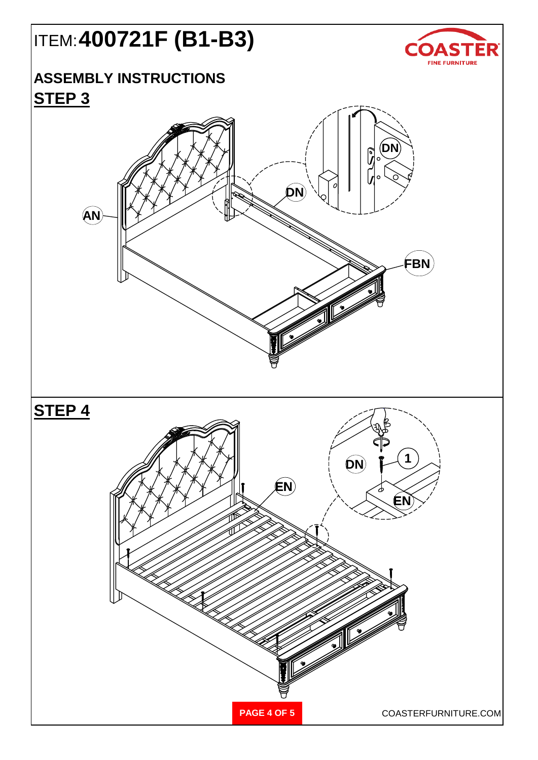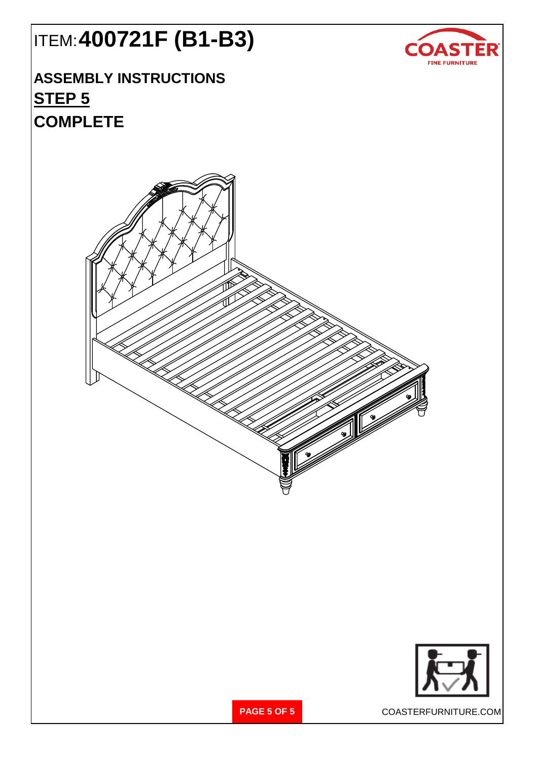

## ITEM: **400721F (B1-B3)**